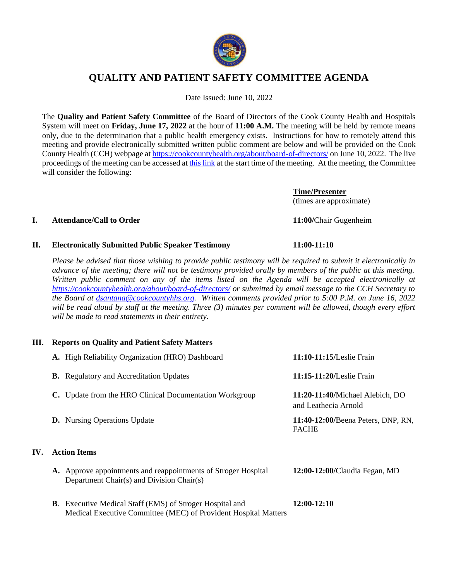

# **QUALITY AND PATIENT SAFETY COMMITTEE AGENDA**

Date Issued: June 10, 2022

The **Quality and Patient Safety Committee** of the Board of Directors of the Cook County Health and Hospitals System will meet on **Friday, June 17, 2022** at the hour of **11:00 A.M.** The meeting will be held by remote means only, due to the determination that a public health emergency exists. Instructions for how to remotely attend this meeting and provide electronically submitted written public comment are below and will be provided on the Cook County Health (CCH) webpage at<https://cookcountyhealth.org/about/board-of-directors/> on June 10, 2022. The live proceedings of the meeting can be accessed at [this link](https://www.youtube.com/channel/UCj9DT_l0RU-MVC-_u-tOkZA) at the start time of the meeting. At the meeting, the Committee will consider the following:

> **Time/Presenter** (times are approximate)

### **I. Attendance/Call to Order 11:00/**Chair Gugenheim

# **II. Electronically Submitted Public Speaker Testimony 11:00-11:10**

*Please be advised that those wishing to provide public testimony will be required to submit it electronically in advance of the meeting; there will not be testimony provided orally by members of the public at this meeting. Written public comment on any of the items listed on the Agenda will be accepted electronically at <https://cookcountyhealth.org/about/board-of-directors/> or submitted by email message to the CCH Secretary to the Board at [dsantana@cookcountyhhs.org.](mailto:dsantana@cookcountyhhs.org) Written comments provided prior to 5:00 P.M. on June 16, 2022 will be read aloud by staff at the meeting. Three (3) minutes per comment will be allowed, though every effort will be made to read statements in their entirety.*

## **III. Reports on Quality and Patient Safety Matters**

| A. High Reliability Organization (HRO) Dashboard                                                            | 11:10-11:15/Leslie Frain                                |  |  |
|-------------------------------------------------------------------------------------------------------------|---------------------------------------------------------|--|--|
| <b>B.</b> Regulatory and Accreditation Updates                                                              | 11:15-11:20/Leslie Frain                                |  |  |
| C. Update from the HRO Clinical Documentation Workgroup                                                     | 11:20-11:40/Michael Alebich, DO<br>and Leathecia Arnold |  |  |
| <b>D.</b> Nursing Operations Update                                                                         | 11:40-12:00/Beena Peters, DNP, RN,<br><b>FACHE</b>      |  |  |
| <b>Action Items</b>                                                                                         |                                                         |  |  |
| A. Approve appointments and reappointments of Stroger Hospital<br>Department Chair(s) and Division Chair(s) | 12:00-12:00/Claudia Fegan, MD                           |  |  |
| <b>B.</b> Executive Medical Staff (EMS) of Stroger Hospital and                                             | 12:00-12:10                                             |  |  |

Medical Executive Committee (MEC) of Provident Hospital Matters

IV.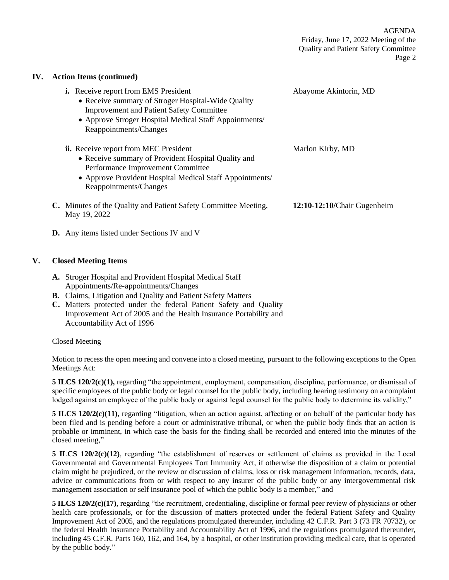### **IV. Action Items (continued)**

| <b>i.</b> Receive report from EMS President<br>• Receive summary of Stroger Hospital-Wide Quality<br><b>Improvement and Patient Safety Committee</b><br>• Approve Stroger Hospital Medical Staff Appointments/<br>Reappointments/Changes | Abayome Akintorin, MD       |
|------------------------------------------------------------------------------------------------------------------------------------------------------------------------------------------------------------------------------------------|-----------------------------|
| <b>ii.</b> Receive report from MEC President<br>• Receive summary of Provident Hospital Quality and<br>Performance Improvement Committee<br>• Approve Provident Hospital Medical Staff Appointments/<br>Reappointments/Changes           | Marlon Kirby, MD            |
| C. Minutes of the Quality and Patient Safety Committee Meeting,<br>May 19, 2022                                                                                                                                                          | 12:10-12:10/Chair Gugenheim |

**D.** Any items listed under Sections IV and V

# **V. Closed Meeting Items**

- **A.** Stroger Hospital and Provident Hospital Medical Staff Appointments/Re-appointments/Changes
- **B.** Claims, Litigation and Quality and Patient Safety Matters
- **C.** Matters protected under the federal Patient Safety and Quality Improvement Act of 2005 and the Health Insurance Portability and Accountability Act of 1996

### Closed Meeting

Motion to recess the open meeting and convene into a closed meeting, pursuant to the following exceptions to the Open Meetings Act:

**5 ILCS 120/2(c)(1),** regarding "the appointment, employment, compensation, discipline, performance, or dismissal of specific employees of the public body or legal counsel for the public body, including hearing testimony on a complaint lodged against an employee of the public body or against legal counsel for the public body to determine its validity,"

**5 ILCS 120/2(c)(11)**, regarding "litigation, when an action against, affecting or on behalf of the particular body has been filed and is pending before a court or administrative tribunal, or when the public body finds that an action is probable or imminent, in which case the basis for the finding shall be recorded and entered into the minutes of the closed meeting,"

**5 ILCS 120/2(c)(12)**, regarding "the establishment of reserves or settlement of claims as provided in the Local Governmental and Governmental Employees Tort Immunity Act, if otherwise the disposition of a claim or potential claim might be prejudiced, or the review or discussion of claims, loss or risk management information, records, data, advice or communications from or with respect to any insurer of the public body or any intergovernmental risk management association or self insurance pool of which the public body is a member," and

**5 ILCS 120/2(c)(17)**, regarding "the recruitment, credentialing, discipline or formal peer review of physicians or other health care professionals, or for the discussion of matters protected under the federal Patient Safety and Quality Improvement Act of 2005, and the regulations promulgated thereunder, including 42 C.F.R. Part 3 (73 FR 70732), or the federal Health Insurance Portability and Accountability Act of 1996, and the regulations promulgated thereunder, including 45 C.F.R. Parts 160, 162, and 164, by a hospital, or other institution providing medical care, that is operated by the public body."